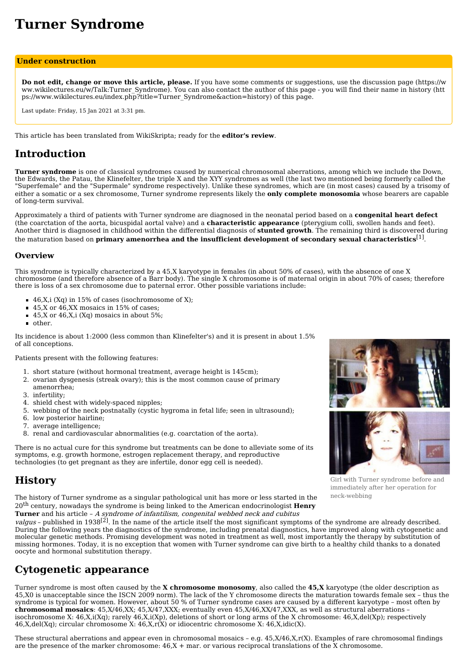# **Turner Syndrome**

#### **Under construction**

**Do not edit, change or move this article, please.** If you have some comments or suggestions, use the discussion page (https://w [ww.wikilectures.eu/w/Talk:Turner\\_Syndrome\).](https://www.wikilectures.eu/w/Talk:Turner_Syndrome) You can also contact the author of this page - you will find their name in history (htt [ps://www.wikilectures.eu/index.php?title=Turner\\_Syndrome&action=history\)](https://www.wikilectures.eu/index.php?title=Turner_Syndrome&action=history) of this page.

Last update: Friday, 15 Jan 2021 at 3:31 pm.

This article has been translated from WikiSkripta; ready for the **editor's review**.

# **Introduction**

**Turner syndrome** is one of classical syndromes caused by numerical [chromosomal](https://www.wikilectures.eu/w/Chromosomal_abnormalities) aberrations, among which we include the [Down,](https://www.wikilectures.eu/w/Down_syndrome) the [Edwards](https://www.wikilectures.eu/index.php?title=Edwards_syndrome&action=edit&redlink=1), the [Patau,](https://www.wikilectures.eu/w/Patau_syndrome) the [Klinefelter](https://www.wikilectures.eu/w/Klinefelter_syndrome), the [triple](https://www.wikilectures.eu/index.php?title=Triple_X_syndrome&action=edit&redlink=1) X and the [XYY](https://www.wikilectures.eu/index.php?title=XYY_syndrome&action=edit&redlink=1) syndromes as well (the last two mentioned being formerly called the "Superfemale" and the "Supermale" syndrome respectively). Unlike these syndromes, which are (in most cases) caused by a trisomy of either a somatic or a sex chromosome, Turner syndrome represents likely the **only complete monosomia** whose bearers are capable of long-term survival.

Approximately a third of patients with Turner syndrome are diagnosed in the neonatal period based on a **congenital heart defect** (the [coarctation](https://www.wikilectures.eu/index.php?title=Coarctation_of_the_aorta&action=edit&redlink=1) of the aorta, bicuspidal aortal valve) and a **characteristic appearance** (pterygium colli, swollen hands and feet). Another third is diagnosed in childhood within the differential diagnosis of **stunted growth**. The remaining third is discovered during the maturation based on **primary amenorrhea and the insufficient development of secondary sexual characteristics** [\[1\]](https://www.wikilectures.eu/index.php?curid=2418&printable=yes#cite_note-nelson-1) .

### **Overview**

This syndrome is typically characterized by a 45,X karyotype in females (in about 50% of cases), with the absence of one X chromosome (and therefore absence of a Barr body). The single X chromosome is of maternal origin in about 70% of cases; therefore there is loss of a sex chromosome due to paternal error. Other possible variations include:

- $\bullet$  46,X,i (Xq) in 15% of cases (isochromosome of X);
- 45,X or 46,XX mosaics in 15% of cases;
- $\blacksquare$  45,X or 46,X,i (Xq) mosaics in about 5%;
- other.

Its incidence is about 1:2000 (less common than Klinefelter's) and it is present in about 1.5% of all conceptions.

Patients present with the following features:

- 1. short stature (without hormonal treatment, average height is 145cm);
- 2. ovarian dysgenesis (streak ovary); this is the most common cause of primary
- amenorrhea; 3. infertility;
- 4. shield chest with widely-spaced nipples;
- 5. webbing of the neck postnatally (cystic hygroma in fetal life; seen in ultrasound);
- 6. low posterior hairline;
- 7. average intelligence;
- 8. renal and cardiovascular abnormalities (e.g. coarctation of the aorta).

There is no actual cure for this syndrome but treatments can be done to alleviate some of its symptoms, e.g. growth hormone, estrogen replacement therapy, and reproductive technologies (to get pregnant as they are infertile, donor egg cell is needed).

# **History**

The history of Turner syndrome as a singular pathological unit has more or less started in the 20 th century, nowadays the syndrome is being linked to the American endocrinologist **Henry Turner** and his article – A syndrome of infantilism, congenital webbed neck and cubitus

valgus - published in 1938<sup>[\[2\]](https://www.wikilectures.eu/index.php?curid=2418&printable=yes#cite_note-2)</sup>. In the name of the article itself the most significant symptoms of the syndrome are already described. During the following years the diagnostics of the syndrome, including prenatal [diagnostics,](https://www.wikilectures.eu/index.php?title=Prenatal_diagnostics&action=edit&redlink=1) have improved along with cytogenetic and molecular genetic methods. Promising development was noted in treatment as well, most importantly the therapy by substitution of missing hormones. Today, it is no exception that women with Turner syndrome can give birth to a healthy child thanks to a donated oocyte and hormonal substitution therapy.

# **Cytogenetic appearance**

Turner syndrome is most often caused by the **X chromosome monosomy**, also called the **45,X** [karyotype](https://www.wikilectures.eu/w/Karyotype) (the older description as 45,X0 is unacceptable since the ISCN 2009 norm). The lack of the Y chromosome directs the maturation towards female sex – thus the syndrome is typical for women. However, about 50 % of Turner syndrome cases are caused by a different karyotype – most often by **chromosomal mosaics**: 45,X/46,XX; 45,X/47,XXX; eventually even 45,X/46,XX/47,XXX, as well as structural aberrations – [isochromosome](https://www.wikilectures.eu/w/Isochromosome) X: 46,X,i(Xq); rarely 46,X,i(Xp), deletions of short or long arms of the X chromosome: 46,X,del(Xp); respectively  $46$ ,X,del(Xq); circular [chromosome](https://www.wikilectures.eu/index.php?title=Idiocentric_chromosome&action=edit&redlink=1) X:  $46$ ,X,r(X) or idiocentric chromosome X:  $46$ ,X,idic(X).

These structural [aberrations](https://www.wikilectures.eu/w/Chromosomal_abnormalities) and appear even in chromosomal mosaics – e.g. 45,X/46,X,r(X). Examples of rare chromosomal findings are the presence of the marker chromosome:  $46$ , $X +$  mar. or various reciprocal translations of the X chromosome.



Girl with Turner syndrome before and immediately after her operation for neck-webbing

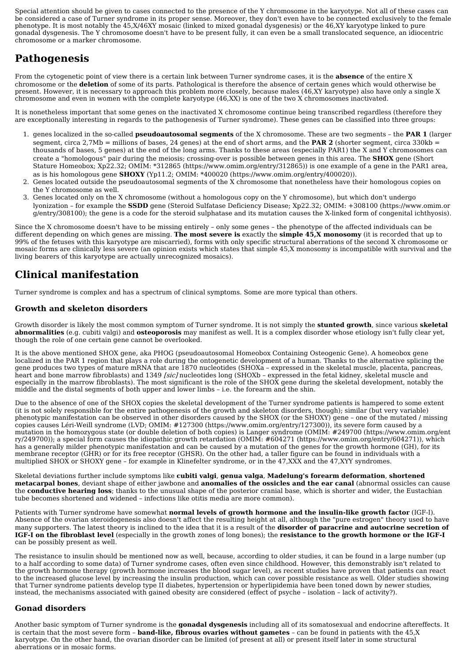Special attention should be given to cases connected to the presence of the Y [chromosome](https://www.wikilectures.eu/index.php?title=Chromosome_Y&action=edit&redlink=1) in the karyotype. Not all of these cases can be considered a case of Turner syndrome in its proper sense. Moreover, they don't even have to be connected exclusively to the female [phenotype.](https://www.wikilectures.eu/index.php?title=Phenotype&action=edit&redlink=1) It is most notably the 45,X/46XY mosaic (linked to mixed gonadal [dysgenesis](https://www.wikilectures.eu/index.php?title=Disorders_of_sexual_development&action=edit&redlink=1)) or the 46,XY karyotype linked to pure gonadal dysgenesis. The Y chromosome doesn't have to be present fully, it can even be a small translocated sequence, an idiocentric chromosome or a marker chromosome.

# **Pathogenesis**

From the cytogenetic point of view there is a certain link between Turner syndrome cases, it is the **absence** of the entire X chromosome or the **deletion** of some of its parts. Pathological is therefore the absence of certain genes which would otherwise be present. However, it is necessary to approach this problem more closely, because males (46,XY karyotype) also have only a single X chromosome and even in women with the complete karyotype (46,XX) is one of the two X chromosomes [inactivated.](https://www.wikilectures.eu/w/The_Sex_Chromosomes_and_Sex_Determination#X_chromosome)

It is nonetheless important that some genes on the inactivated X chromosome continue being transcribed regardless (therefore they are exceptionally interesting in regards to the pathogenesis of Turner syndrome). These genes can be classified into three groups:

- 1. genes localized in the so-called **[pseudoautosomal](https://www.wikilectures.eu/index.php?title=Pseudoautosomal_area&action=edit&redlink=1) segments** of the X chromosome. These are two segments the **PAR 1** (larger segment, circa  $2.7Mb$  = millions of bases, 24 genes) at the end of short arms, and the **PAR 2** (shorter segment, circa 330kb = thousands of bases, 5 genes) at the end of the long arms. Thanks to these areas (especially PAR1) the X and Y chromosomes can create a "homologous" pair during the [meiosis](https://www.wikilectures.eu/w/Meiosis); [crossing-over](https://www.wikilectures.eu/w/Crossing-over) is possible between genes in this area. The **SHOX** gene (Short Stature Homeobox; Xp22.32; OMIM: \*312865 [\(https://www.omim.org/entry/312865\)](https://www.omim.org/entry/312865)) is one example of a gene in the PAR1 area, as is his homologous gene **SHOXY** (Yp11.2; OMIM: \*400020 [\(https://www.omim.org/entry/400020\)](https://www.omim.org/entry/400020)).
- 2. Genes located outside the pseudoautosomal segments of the X chromosome that nonetheless have their homologous copies on the Y chromosome as well.
- 3. Genes located only on the X chromosome (without a homologous copy on the Y chromosome), but which don't undergo lyonization – for example the **SSDD** gene (Steroid Sulfatase Deficiency Disease; Xp22.32; OMIM: +308100 [\(https://www.omim.or](https://www.omim.org/entry/308100) g/entry/308100); the gene is a code for the steroid sulphatase and its mutation causes the X-linked form of congenital ichthyosis).

Since the X chromosome doesn't have to be missing entirely – only some genes – the phenotype of the affected individuals can be different depending on which genes are missing. **The most severe is** exactly the **simple 45,X monosomy** (it is recorded that up to 99% of the fetuses with this karyotype are miscarried), forms with only specific structural aberrations of the second X chromosome or mosaic forms are clinically less severe (an opinion exists which states that simple 45,X monosomy is incompatible with survival and the living bearers of this karyotype are actually unrecognized mosaics).

# **Clinical manifestation**

Turner syndrome is complex and has a spectrum of clinical symptoms. Some are more typical than others.

### **Growth and skeleton disorders**

Growth [disorder](https://www.wikilectures.eu/index.php?title=Growth_disorders_in_children&action=edit&redlink=1) is likely the most common symptom of Turner syndrome. It is not simply the **stunted growth**, since various **skeletal abnormalities** (e.g. cubiti valgi) and **[osteoporosis](https://www.wikilectures.eu/w/Osteoporosis)** may manifest as well. It is a complex disorder whose etiology isn't fully clear yet, though the role of one certain gene cannot be overlooked.

It is the above mentioned SHOX gene, aka PHOG (pseudoautosomal Homeobox Containing Osteogenic Gene). A homeobox gene localized in the PAR 1 region that plays a role during the ontogenetic development of a human. Thanks to the alternative splicing the gene produces two types of mature mRNA that are 1870 nucleotides (SHOXa – expressed in the skeletal muscle, placenta, pancreas, heart and bone marrow fibroblasts) and 1349 *[sic]* nucleotides long (SHOXb – expressed in the fetal kidney, skeletal muscle and especially in the marrow fibroblasts). The most significant is the role of the SHOX gene during the skeletal development, notably the middle and the distal segments of both upper and lower limbs – i.e. the forearm and the shin.

Due to the absence of one of the SHOX copies the skeletal development of the Turner syndrome patients is hampered to some extent (it is not solely responsible for the entire pathogenesis of the growth and skeleton disorders, though); similar (but very variable) phenotypic manifestation can be observed in other disorders caused by the SHOX (or the SHOXY) gene – one of the mutated / missing copies causes Léri-Weill [syndrome](https://www.wikilectures.eu/index.php?title=L%C3%A9ri-Weill_syndrome&action=edit&redlink=1) (LVD; OMIM: #127300 [\(https://www.omim.org/entry/127300\)\)](https://www.omim.org/entry/127300), its severe form caused by a mutation in the homozygous state (or double deletion of both copies) is Langer [syndrome](https://www.wikilectures.eu/index.php?title=Langer_syndrome&action=edit&redlink=1) (OMIM: #249700 (https://www.omim.org/ent ry/249700)); a special form causes the idiopathic growth [retardation](https://www.wikilectures.eu/index.php?title=Idiopathic_growth_retardation&action=edit&redlink=1) (OMIM: #604271 [\(https://www.omim.org/entry/604271\)\),](https://www.omim.org/entry/249700) which has a generally milder phenotypic manifestation and can be caused by a mutation of the genes for the growth [hormone](https://www.wikilectures.eu/index.php?title=Growth_hormone&action=edit&redlink=1) (GH), for its membrane receptor (GHR) or for its free receptor (GHSR). On the other had, a taller figure can be found in individuals with a multiplied SHOX or SHOXY gene – for example in Klinefelter syndrome, or in the 47,XXX and the 47,XYY syndromes.

Skeletal deviations further include symptoms like **cubiti valgi**, **genua valga**, **Madelung's forearm deformation**, **shortened metacarpal bones**, deviant shape of either jawbone and **anomalies of the ossicles and the ear canal** (abnormal ossicles can cause the **conductive hearing loss**; thanks to the unusual shape of the posterior cranial base, which is shorter and wider, the Eustachian tube becomes shortened and widened – infections like otitis media are more common).

Patients with Turner syndrome have somewhat **normal levels of growth hormone and the insulin-like growth factor** (IGF-I). Absence of the ovarian steroidogenesis also doesn't affect the resulting height at all, although the "pure estrogen" theory used to have many supporters. The latest theory is inclined to the idea that it is a result of the **disorder of paracrine and autocrine secretion of IGF-I on the fibroblast level** (especially in the growth zones of long bones); the **resistance to the growth hormone or the IGF-I** can be possibly present as well.

The resistance to insulin should be mentioned now as well, because, according to older studies, it can be found in a large number (up to a half according to some data) of Turner syndrome cases, often even since childhood. However, this demonstrably isn't related to the growth hormone therapy (growth hormone increases the blood sugar level), as recent studies have proven that patients can react to the increased glucose level by increasing the insulin production, which can cover possible resistance as well. Older studies showing that Turner syndrome patients develop type II [diabetes](https://www.wikilectures.eu/w/Diabetes_Mellitus/type_2), hypertension or hyperlipidemia have been toned down by newer studies, instead, the mechanisms associated with gained obesity are considered (effect of psyche – isolation – lack of activity?).

### **Gonad disorders**

Another basic symptom of Turner syndrome is the **gonadal [dysgenesis](https://www.wikilectures.eu/index.php?title=Gonadal_dysgenesis&action=edit&redlink=1)** including all of its somatosexual and endocrine aftereffects. It is certain that the most severe form – **band-like, fibrous ovaries without gametes** – can be found in patients with the 45,X karyotype. On the other hand, the ovarian disorder can be limited (of present at all) or present itself later in some structural aberrations or in mosaic forms.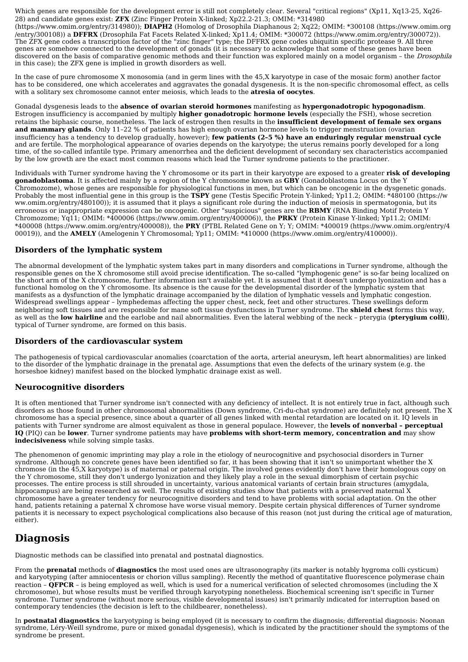Which genes are responsible for the development error is still not completely clear. Several "critical regions" (Xp11, Xq13-25, Xq26- 28) and candidate genes exist: **ZFX** (Zinc Finger Protein X-linked; Xp22.2-21.3; OMIM: \*314980

[\(https://www.omim.org/entry/314980\)\);](https://www.omim.org/entry/314980) **DIAPH2** (Homolog of Drosophila Diaphanous 2; Xq22; OMIM: \*300108 (https://www.omim.org /entry/300108)) a **DFFRX** (Drosophila Fat Facets Related X-linked; Xp11.4; OMIM: \*300072 [\(https://www.omim.org/entry/300072\)](https://www.omim.org/entry/300072)). The ZFX gene codes a transcription factor of the "zinc finger" type; the DFFRX gene codes ubiquitin specific protease 9. All three genes are somehow connected to the development of gonads (it is necessary to acknowledge that some of these genes have been discovered on the basis of comparative genomic methods and their function was explored mainly on a model organism - the *Drosophila* in this case); the ZFX gene is implied in growth disorders as well.

In the case of pure chromosome X monosomia (and in germ lines with the 45,X karyotype in case of the mosaic form) another factor has to be considered, one which accelerates and aggravates the gonadal dysgenesis. It is the non-specific chromosomal effect, as cells with a solitary sex chromosome cannot enter meiosis, which leads to the **atresia of oocytes**.

Gonadal dysgenesis leads to the **absence of ovarian steroid hormones** manifesting as **hypergonadotropic hypogonadism**. Estrogen insufficiency is accompanied by multiply **higher gonadotropic hormone levels** (especially the FSH), whose secretion retains the biphasic course, nonetheless. The lack of estrogen then results in the **insufficient development of female sex organs and mammary glands**. Only 11–22 % of patients has high enough ovarian hormone levels to trigger menstruation (ovarian insufficiency has a tendency to develop gradually, however); **few patients (2–5 %) have an enduringly regular menstrual cycle** and are fertile. The morphological appearance of ovaries depends on the karyotype; the uterus remains poorly developed for a long time, of the so-called infantile type. Primary amenorrhea and the deficient development of secondary sex characteristics accompanied by the low growth are the exact most common reasons which lead the Turner syndrome patients to the practitioner.

Individuals with Turner syndrome having the Y chromosome or its part in their karyotype are exposed to a greater **risk of developing [gonadoblastoma](https://www.wikilectures.eu/index.php?title=Gonadoblastoma&action=edit&redlink=1)**. It is affected mainly by a region of the Y chromosome known as **GBY** (Gonadoblastoma Locus on the Y Chromozome), whose genes are responsible for physiological functions in men, but which can be oncogenic in the dysgenetic gonads. Probably the most influential gene in this group is the **TSPY** gene (Testis Specific Protein Y-linked; Yp11.2; OMIM: \*480100 (https://w [ww.omim.org/entry/480100\)\);](https://www.omim.org/entry/480100) it is assumed that it plays a significant role during the induction of meiosis in spermatogonia, but its erroneous or inappropriate expression can be oncogenic. Other "suspicious" genes are the **RBMY** (RNA Binding Motif Protein Y Chromozome; Yq11; OMIM: \*400006 [\(https://www.omim.org/entry/400006\)](https://www.omim.org/entry/400006)[\),](https://www.omim.org/entry/400008) the **PRKY** (Protein Kinase Y-linked; Yp11.2; OMIM: \*400008 (https://www.omim.org/entry/400008)), the **PRY** (PTBL Related Gene on Y; Y; OMIM: \*400019 (https://www.omim.org/entry/4 00019)), and the **AMELY** (Amelogenin Y Chromosomal; Yp11; OMIM: \*410000 [\(https://www.omim.org/entry/410000\)\).](https://www.omim.org/entry/400019)

### **Disorders of the lymphatic system**

The abnormal development of the lymphatic system takes part in many disorders and complications in Turner syndrome, although the responsible genes on the X chromosome still avoid precise identification. The so-called "lymphogenic gene" is so-far being localized on the short arm of the X chromosome, further information isn't available yet. It is assumed that it doesn't undergo lyonization and has a functional homolog on the Y chromosome. Its absence is the cause for the developmental disorder of the lymphatic system that manifests as a dysfunction of the lymphatic drainage accompanied by the dilation of lymphatic vessels and lymphatic congestion. Widespread swellings appear – lymphedemas affecting the upper chest, neck, feet and other structures. These swellings deform neighboring soft tissues and are responsible for mane soft tissue dysfunctions in Turner syndrome. The **shield chest** forms this way, as well as the **low hairline** and the earlobe and nail abnormalities. Even the lateral webbing of the neck – pterygia (**pterygium colli**), typical of Turner syndrome, are formed on this basis.

### **Disorders of the cardiovascular system**

The pathogenesis of typical cardiovascular anomalies ([coarctation](https://www.wikilectures.eu/w/Causes_of_circulatory_insufficiency_in_the_heart#Aortic_coarctation) of the aorta, arterial aneurysm, left heart abnormalities) are linked to the disorder of the lymphatic drainage in the prenatal age. Assumptions that even the defects of the urinary system (e.g. the horseshoe kidney) manifest based on the blocked lymphatic drainage exist as well.

### **Neurocognitive disorders**

It is often mentioned that Turner syndrome isn't connected with any deficiency of intellect. It is not entirely true in fact, although such disorders as those found in other chromosomal abnormalities (Down syndrome, [Cri-du-chat](https://www.wikilectures.eu/index.php?title=Cri-du-chat_syndrome&action=edit&redlink=1) syndrome) are definitely not present. The X chromosome has a special presence, since about a quarter of all genes linked with mental retardation are located on it. IQ levels in patients with Turner syndrome are almost equivalent as those in general populace. However, the **levels of nonverbal – perceptual IQ** (PIQ) can be **lower**. Turner syndrome patients may have **problems with short-term memory, concentration and** may show **indecisiveness** while solving simple tasks.

The phenomenon of genomic [imprinting](https://www.wikilectures.eu/index.php?title=Genomic_imprinting&action=edit&redlink=1) may play a role in the etiology of neurocognitive and psychosocial disorders in Turner syndrome. Although no concrete genes have been identified so far, it has been showing that it isn't so unimportant whether the X chromose (in the 45,X karyotype) is of maternal or paternal origin. The involved genes evidently don't have their homologous copy on the Y chromosome, still they don't undergo [lyonization](https://www.wikilectures.eu/index.php?title=Lyonization&action=edit&redlink=1) and they likely play a role in the sexual dimorphism of certain psychic processes. The entire process is still shrouded in uncertainty, various anatomical variants of certain brain structures (amygdala, hippocampus) are being researched as well. The results of existing studies show that patients with a preserved maternal X chromosome have a greater tendency for neurocognitive disorders and tend to have problems with social adaptation. On the other hand, patients retaining a paternal X chromose have worse visual memory. Despite certain physical differences of Turner syndrome patients it is necessary to expect psychological complications also because of this reason (not just during the critical age of maturation, either).

### **Diagnosis**

Diagnostic methods can be classified into [prenatal](https://www.wikilectures.eu/index.php?title=Prenatal_diagnostics&action=edit&redlink=1) and postnatal diagnostics.

From the **prenatal** methods of **diagnostics** the most used ones are ultrasonography (its marker is notably hygroma colli cysticum) and karyotyping (after [amniocentesis](https://www.wikilectures.eu/index.php?title=Amniocentesis&action=edit&redlink=1) or chorion villus sampling). Recently the method of quantitative fluorescence polymerase chain reaction – **QFPCR** – is being employed as well, which is used for a numerical verification of selected chromosomes (including the X chromosome), but whose results must be verified through karyotyping nonetheless. Biochemical screening isn't specific in Turner syndrome. Turner syndrome (without more serious, visible developmental issues) isn't primarily indicated for interruption based on contemporary tendencies (the decision is left to the childbearer, nonetheless).

In **postnatal [diagnostics](https://www.wikilectures.eu/w/Noonan_syndrome)** the karyotyping is being employed (it is necessary to confirm the diagnosis; differential diagnosis: Noonan syndrome, Léry-Weill syndrome, pure or mixed gonadal dysgenesis), which is indicated by the practitioner should the symptoms of the syndrome be present.